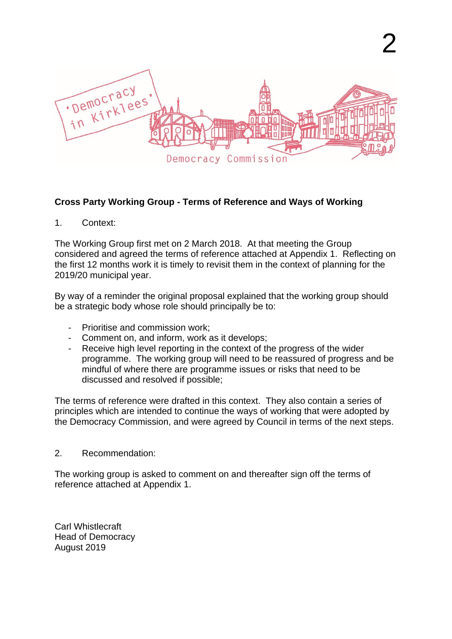

### **Cross Party Working Group - Terms of Reference and Ways of Working**

1. Context:

The Working Group first met on 2 March 2018. At that meeting the Group considered and agreed the terms of reference attached at Appendix 1. Reflecting on the first 12 months work it is timely to revisit them in the context of planning for the 2019/20 municipal year.

By way of a reminder the original proposal explained that the working group should be a strategic body whose role should principally be to:

- Prioritise and commission work;
- Comment on, and inform, work as it develops;
- Receive high level reporting in the context of the progress of the wider programme. The working group will need to be reassured of progress and be mindful of where there are programme issues or risks that need to be discussed and resolved if possible;

The terms of reference were drafted in this context. They also contain a series of principles which are intended to continue the ways of working that were adopted by the Democracy Commission, and were agreed by Council in terms of the next steps.

2. Recommendation:

The working group is asked to comment on and thereafter sign off the terms of reference attached at Appendix 1.

Carl Whistlecraft Head of Democracy August 2019